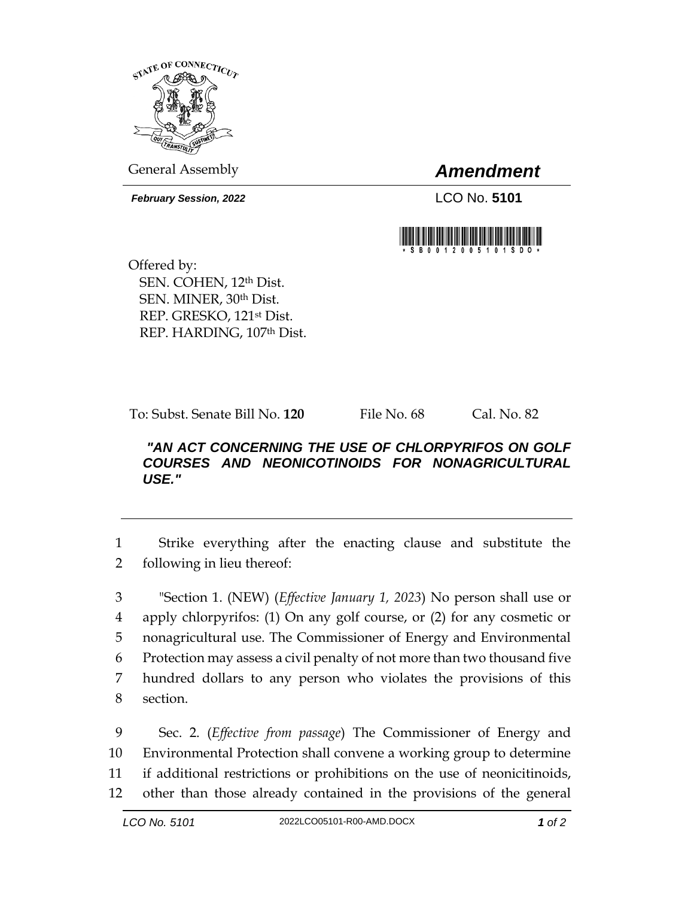

General Assembly *Amendment*

*February Session, 2022* LCO No. 5101



Offered by: SEN. COHEN, 12th Dist. SEN. MINER, 30th Dist. REP. GRESKO, 121st Dist. REP. HARDING, 107th Dist.

To: Subst. Senate Bill No. **120** File No. 68 Cal. No. 82

## *"AN ACT CONCERNING THE USE OF CHLORPYRIFOS ON GOLF COURSES AND NEONICOTINOIDS FOR NONAGRICULTURAL USE."*

1 Strike everything after the enacting clause and substitute the 2 following in lieu thereof:

 "Section 1. (NEW) (*Effective January 1, 2023*) No person shall use or apply chlorpyrifos: (1) On any golf course, or (2) for any cosmetic or nonagricultural use. The Commissioner of Energy and Environmental Protection may assess a civil penalty of not more than two thousand five hundred dollars to any person who violates the provisions of this section.

 Sec. 2. (*Effective from passage*) The Commissioner of Energy and Environmental Protection shall convene a working group to determine if additional restrictions or prohibitions on the use of neonicitinoids, other than those already contained in the provisions of the general